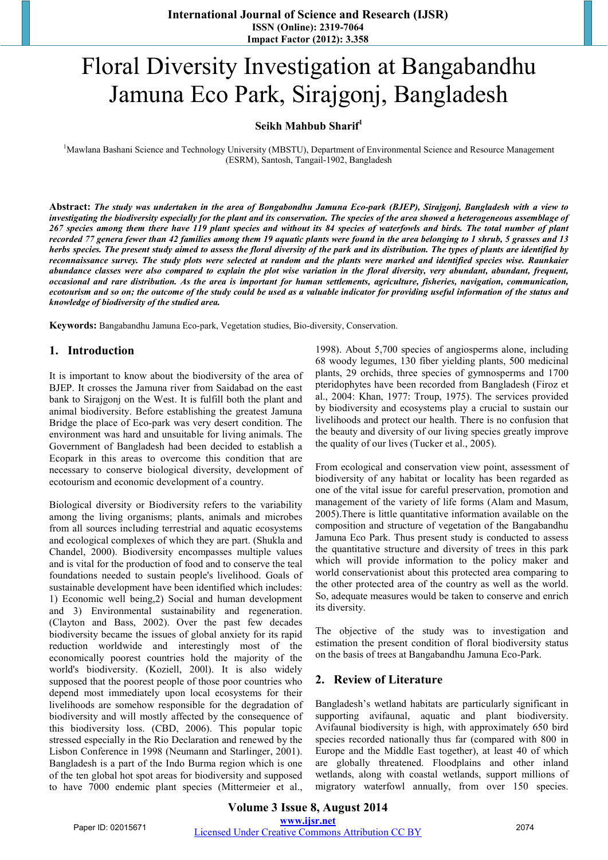# Floral Diversity Investigation at Bangabandhu Jamuna Eco Park, Sirajgonj, Bangladesh

## **Seikh Mahbub Sharif<sup>1</sup>**

<sup>1</sup>Mawlana Bashani Science and Technology University (MBSTU), Department of Environmental Science and Resource Management (ESRM), Santosh, Tangail-1902, Bangladesh

**Abstract:** *The study was undertaken in the area of Bongabondhu Jamuna Eco-park (BJEP), Sirajgonj, Bangladesh with a view to investigating the biodiversity especially for the plant and its conservation. The species of the area showed a heterogeneous assemblage of 267 species among them there have 119 plant species and without its 84 species of waterfowls and birds. The total number of plant recorded 77 genera fewer than 42 families among them 19 aquatic plants were found in the area belonging to 1 shrub, 5 grasses and 13 herbs species. The present study aimed to assess the floral diversity of the park and its distribution. The types of plants are identified by reconnaissance survey. The study plots were selected at random and the plants were marked and identified species wise. Raunkaier abundance classes were also compared to explain the plot wise variation in the floral diversity, very abundant, abundant, frequent, occasional and rare distribution. As the area is important for human settlements, agriculture, fisheries, navigation, communication, ecotourism and so on; the outcome of the study could be used as a valuable indicator for providing useful information of the status and knowledge of biodiversity of the studied area.* 

**Keywords:** Bangabandhu Jamuna Eco-park, Vegetation studies, Bio-diversity, Conservation.

## **1. Introduction**

It is important to know about the biodiversity of the area of BJEP. It crosses the Jamuna river from Saidabad on the east bank to Sirajgonj on the West. It is fulfill both the plant and animal biodiversity. Before establishing the greatest Jamuna Bridge the place of Eco-park was very desert condition. The environment was hard and unsuitable for living animals. The Government of Bangladesh had been decided to establish a Ecopark in this areas to overcome this condition that are necessary to conserve biological diversity, development of ecotourism and economic development of a country.

Biological diversity or Biodiversity refers to the variability among the living organisms; plants, animals and microbes from all sources including terrestrial and aquatic ecosystems and ecological complexes of which they are part. (Shukla and Chandel, 2000). Biodiversity encompasses multiple values and is vital for the production of food and to conserve the teal foundations needed to sustain people's livelihood. Goals of sustainable development have been identified which includes: 1) Economic well being,2) Social and human development and 3) Environmental sustainability and regeneration. (Clayton and Bass, 2002). Over the past few decades biodiversity became the issues of global anxiety for its rapid reduction worldwide and interestingly most of the economically poorest countries hold the majority of the world's biodiversity. (Koziell, 200l). It is also widely supposed that the poorest people of those poor countries who depend most immediately upon local ecosystems for their livelihoods are somehow responsible for the degradation of biodiversity and will mostly affected by the consequence of this biodiversity loss. (CBD, 2006). This popular topic stressed especially in the Rio Declaration and renewed by the Lisbon Conference in 1998 (Neumann and Starlinger, 2001). Bangladesh is a part of the Indo Burma region which is one of the ten global hot spot areas for biodiversity and supposed to have 7000 endemic plant species (Mittermeier et al.,

1998). About 5,700 species of angiosperms alone, including 68 woody legumes, 130 fiber yielding plants, 500 medicinal plants, 29 orchids, three species of gymnosperms and 1700 pteridophytes have been recorded from Bangladesh (Firoz et al., 2004: Khan, 1977: Troup, 1975). The services provided by biodiversity and ecosystems play a crucial to sustain our livelihoods and protect our health. There is no confusion that the beauty and diversity of our living species greatly improve the quality of our lives (Tucker et al., 2005).

From ecological and conservation view point, assessment of biodiversity of any habitat or locality has been regarded as one of the vital issue for careful preservation, promotion and management of the variety of life forms (Alam and Masum, 2005).There is little quantitative information available on the composition and structure of vegetation of the Bangabandhu Jamuna Eco Park. Thus present study is conducted to assess the quantitative structure and diversity of trees in this park which will provide information to the policy maker and world conservationist about this protected area comparing to the other protected area of the country as well as the world. So, adequate measures would be taken to conserve and enrich its diversity.

The objective of the study was to investigation and estimation the present condition of floral biodiversity status on the basis of trees at Bangabandhu Jamuna Eco-Park.

## **2. Review of Literature**

Bangladesh's wetland habitats are particularly significant in supporting avifaunal, aquatic and plant biodiversity. Avifaunal biodiversity is high, with approximately 650 bird species recorded nationally thus far (compared with 800 in Europe and the Middle East together), at least 40 of which are globally threatened. Floodplains and other inland wetlands, along with coastal wetlands, support millions of migratory waterfowl annually, from over 150 species.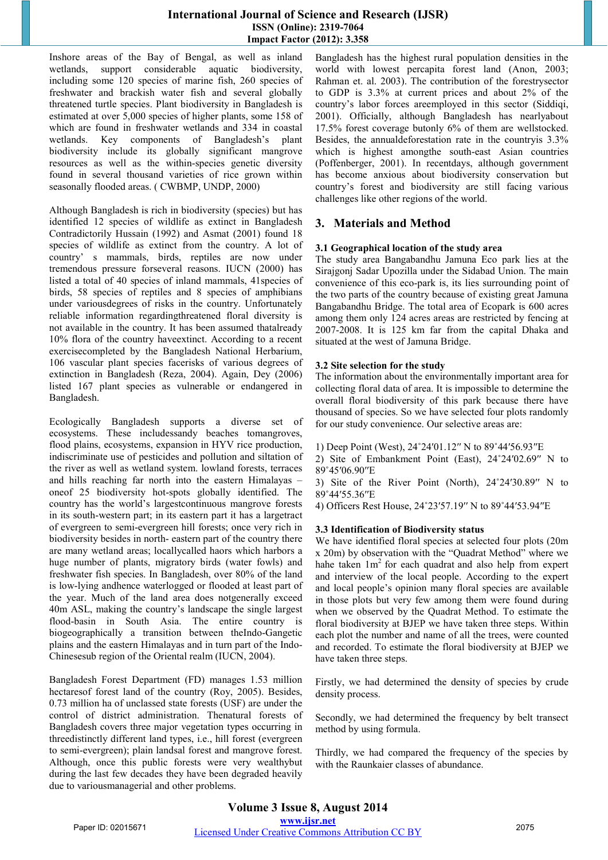Inshore areas of the Bay of Bengal, as well as inland wetlands, support considerable aquatic biodiversity, including some 120 species of marine fish, 260 species of freshwater and brackish water fish and several globally threatened turtle species. Plant biodiversity in Bangladesh is estimated at over 5,000 species of higher plants, some 158 of which are found in freshwater wetlands and 334 in coastal wetlands. Key components of Bangladesh's plant biodiversity include its globally significant mangrove resources as well as the within-species genetic diversity found in several thousand varieties of rice grown within seasonally flooded areas. ( CWBMP, UNDP, 2000)

Although Bangladesh is rich in biodiversity (species) but has identified 12 species of wildlife as extinct in Bangladesh Contradictorily Hussain (1992) and Asmat (2001) found 18 species of wildlife as extinct from the country. A lot of country' s mammals, birds, reptiles are now under tremendous pressure forseveral reasons. IUCN (2000) has listed a total of 40 species of inland mammals, 41species of birds, 58 species of reptiles and 8 species of amphibians under variousdegrees of risks in the country. Unfortunately reliable information regardingthreatened floral diversity is not available in the country. It has been assumed thatalready 10% flora of the country haveextinct. According to a recent exercisecompleted by the Bangladesh National Herbarium, 106 vascular plant species facerisks of various degrees of extinction in Bangladesh (Reza, 2004). Again, Dey (2006) listed 167 plant species as vulnerable or endangered in Bangladesh.

Ecologically Bangladesh supports a diverse set of ecosystems. These includessandy beaches tomangroves, flood plains, ecosystems, expansion in HYV rice production, indiscriminate use of pesticides and pollution and siltation of the river as well as wetland system. lowland forests, terraces and hills reaching far north into the eastern Himalayas – oneof 25 biodiversity hot-spots globally identified. The country has the world's largestcontinuous mangrove forests in its south-western part; in its eastern part it has a largetract of evergreen to semi-evergreen hill forests; once very rich in biodiversity besides in north- eastern part of the country there are many wetland areas; locallycalled haors which harbors a huge number of plants, migratory birds (water fowls) and freshwater fish species. In Bangladesh, over 80% of the land is low-lying andhence waterlogged or flooded at least part of the year. Much of the land area does notgenerally exceed 40m ASL, making the country's landscape the single largest flood-basin in South Asia. The entire country is biogeographically a transition between theIndo-Gangetic plains and the eastern Himalayas and in turn part of the Indo-Chinesesub region of the Oriental realm (IUCN, 2004).

Bangladesh Forest Department (FD) manages 1.53 million hectaresof forest land of the country (Roy, 2005). Besides, 0.73 million ha of unclassed state forests (USF) are under the control of district administration. Thenatural forests of Bangladesh covers three major vegetation types occurring in threedistinctly different land types, i.e., hill forest (evergreen to semi-evergreen); plain landsal forest and mangrove forest. Although, once this public forests were very wealthybut during the last few decades they have been degraded heavily due to variousmanagerial and other problems.

Bangladesh has the highest rural population densities in the world with lowest percapita forest land (Anon, 2003; Rahman et. al. 2003). The contribution of the forestrysector to GDP is 3.3% at current prices and about 2% of the country's labor forces areemployed in this sector (Siddiqi, 2001). Officially, although Bangladesh has nearlyabout 17.5% forest coverage butonly 6% of them are wellstocked. Besides, the annualdeforestation rate in the countryis 3.3% which is highest amongthe south-east Asian countries (Poffenberger, 2001). In recentdays, although government has become anxious about biodiversity conservation but country's forest and biodiversity are still facing various challenges like other regions of the world.

# **3. Materials and Method**

## **3.1 Geographical location of the study area**

The study area Bangabandhu Jamuna Eco park lies at the Sirajgonj Sadar Upozilla under the Sidabad Union. The main convenience of this eco-park is, its lies surrounding point of the two parts of the country because of existing great Jamuna Bangabandhu Bridge. The total area of Ecopark is 600 acres among them only 124 acres areas are restricted by fencing at 2007-2008. It is 125 km far from the capital Dhaka and situated at the west of Jamuna Bridge.

## **3.2 Site selection for the study**

The information about the environmentally important area for collecting floral data of area. It is impossible to determine the overall floral biodiversity of this park because there have thousand of species. So we have selected four plots randomly for our study convenience. Our selective areas are:

1) Deep Point (West), 24˚24ʹ01.12ʹʹ N to 89˚44ʹ56.93ʹʹE

2) Site of Embankment Point (East), 24˚24ʹ02.69ʹʹ N to 89˚45ʹ06.90ʹʹE

3) Site of the River Point (North), 24˚24ʹ30.89ʹʹ N to 89˚44ʹ55.36ʹʹE

4) Officers Rest House, 24˚23ʹ57.19ʹʹ N to 89˚44ʹ53.94ʹʹE

#### **3.3 Identification of Biodiversity status**

We have identified floral species at selected four plots (20m x 20m) by observation with the "Quadrat Method" where we hahe taken  $1m<sup>2</sup>$  for each quadrat and also help from expert and interview of the local people. According to the expert and local people's opinion many floral species are available in those plots but very few among them were found during when we observed by the Quadrat Method. To estimate the floral biodiversity at BJEP we have taken three steps. Within each plot the number and name of all the trees, were counted and recorded. To estimate the floral biodiversity at BJEP we have taken three steps.

Firstly, we had determined the density of species by crude density process.

Secondly, we had determined the frequency by belt transect method by using formula.

Thirdly, we had compared the frequency of the species by with the Raunkaier classes of abundance.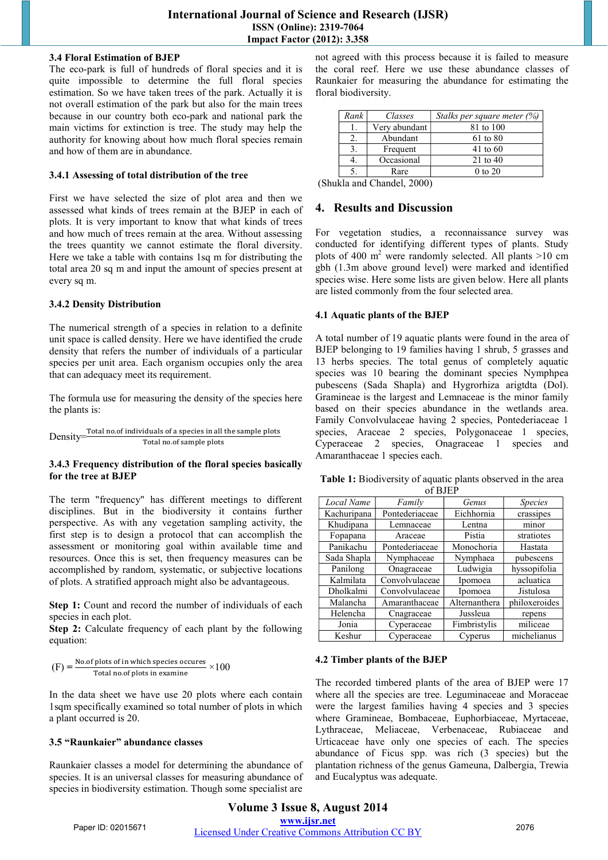#### **3.4 Floral Estimation of BJEP**

The eco-park is full of hundreds of floral species and it is quite impossible to determine the full floral species estimation. So we have taken trees of the park. Actually it is not overall estimation of the park but also for the main trees because in our country both eco-park and national park the main victims for extinction is tree. The study may help the authority for knowing about how much floral species remain and how of them are in abundance.

#### **3.4.1 Assessing of total distribution of the tree**

First we have selected the size of plot area and then we assessed what kinds of trees remain at the BJEP in each of plots. It is very important to know that what kinds of trees and how much of trees remain at the area. Without assessing the trees quantity we cannot estimate the floral diversity. Here we take a table with contains 1sq m for distributing the total area 20 sq m and input the amount of species present at every sq m.

## **3.4.2 Density Distribution**

The numerical strength of a species in relation to a definite unit space is called density. Here we have identified the crude density that refers the number of individuals of a particular species per unit area. Each organism occupies only the area that can adequacy meet its requirement.

The formula use for measuring the density of the species here the plants is:

$$
Density \frac{\text{Total no. of individuals of a species in all the sample plots}}{\text{Total no. of sample plots}}
$$

#### **3.4.3 Frequency distribution of the floral species basically for the tree at BJEP**

The term "frequency" has different meetings to different disciplines. But in the biodiversity it contains further perspective. As with any vegetation sampling activity, the first step is to design a protocol that can accomplish the assessment or monitoring goal within available time and resources. Once this is set, then frequency measures can be accomplished by random, systematic, or subjective locations of plots. A stratified approach might also be advantageous.

**Step 1:** Count and record the number of individuals of each species in each plot.

**Step 2:** Calculate frequency of each plant by the following equation:

$$
(F) = \frac{\text{No. of plots of in which species occurs}}{\text{Total no. of plots in examine}} \times 100
$$

In the data sheet we have use 20 plots where each contain 1sqm specifically examined so total number of plots in which a plant occurred is 20.

#### **3.5 "Raunkaier" abundance classes**

Raunkaier classes a model for determining the abundance of species. It is an universal classes for measuring abundance of species in biodiversity estimation. Though some specialist are not agreed with this process because it is failed to measure the coral reef. Here we use these abundance classes of Raunkaier for measuring the abundance for estimating the floral biodiversity.

| Rank                           | Classes       | Stalks per square meter (%) |  |
|--------------------------------|---------------|-----------------------------|--|
|                                | Very abundant | 81 to 100                   |  |
| 2.                             | Abundant      | 61 to 80                    |  |
|                                | Frequent      | 41 to 60                    |  |
|                                | Occasional    | 21 to 40                    |  |
|                                | Rare          | $0$ to $20$                 |  |
| $11. \ldots 101. \ldots 11000$ |               |                             |  |

(Shukla and Chandel, 2000)

## **4. Results and Discussion**

For vegetation studies, a reconnaissance survey was conducted for identifying different types of plants. Study plots of 400  $m^2$  were randomly selected. All plants >10 cm gbh (1.3m above ground level) were marked and identified species wise. Here some lists are given below. Here all plants are listed commonly from the four selected area.

## **4.1 Aquatic plants of the BJEP**

A total number of 19 aquatic plants were found in the area of BJEP belonging to 19 families having 1 shrub, 5 grasses and 13 herbs species. The total genus of completely aquatic species was 10 bearing the dominant species Nymphpea pubescens (Sada Shapla) and Hygrorhiza arigtdta (Dol). Gramineae is the largest and Lemnaceae is the minor family based on their species abundance in the wetlands area. Family Convolvulaceae having 2 species, Pontederiaceae 1 species, Araceae 2 species, Polygonaceae 1 species, Cyperaceae 2 species, Onagraceae 1 species and Amaranthaceae 1 species each.

**Table 1:** Biodiversity of aquatic plants observed in the area of BJEP

| Local Name  | Family         | Genus         | <i>Species</i> |
|-------------|----------------|---------------|----------------|
| Kachuripana | Pontederiaceae | Eichhornia    | crassipes      |
| Khudipana   | Lemnaceae      | Lentna        | minor          |
| Fopapana    | Araceae        | Pistia        | stratiotes     |
| Panikachu   | Pontederiaceae | Monochoria    | Hastata        |
| Sada Shapla | Nymphaceae     | Nymphaea      | pubescens      |
| Panilong    | Onagraceae     | Ludwigia      | hyssopifolia   |
| Kalmilata   | Convolvulaceae | Ipomoea       | acluatica      |
| Dholkalmi   | Convolvulaceae | Ipomoea       | Jistulosa      |
| Malancha    | Amaranthaceae  | Alternanthera | philoxeroides  |
| Helencha    | Cnagraceae     | Jussleua      | repens         |
| Jonia       | Cyperaceae     | Fimbristylis  | miliceae       |
| Keshur      | Cyperaceae     | Cyperus       | michelianus    |

## **4.2 Timber plants of the BJEP**

The recorded timbered plants of the area of BJEP were 17 where all the species are tree. Leguminaceae and Moraceae were the largest families having 4 species and 3 species where Gramineae, Bombaceae, Euphorbiaceae, Myrtaceae, Lythraceae, Meliaceae, Verbenaceae, Rubiaceae and Urticaceae have only one species of each. The species abundance of Ficus spp. was rich (3 species) but the plantation richness of the genus Gameuna, Dalbergia, Trewia and Eucalyptus was adequate.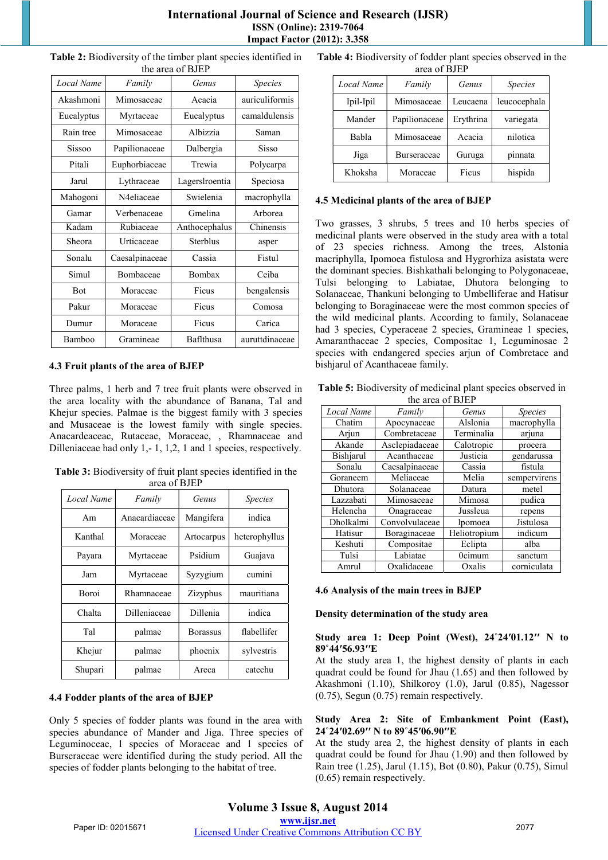| Local Name | Family         | Genus           | <b>Species</b> |
|------------|----------------|-----------------|----------------|
| Akashmoni  | Mimosaceae     | Acacia          | auriculiformis |
| Eucalyptus | Myrtaceae      | Eucalyptus      | camaldulensis  |
| Rain tree  | Mimosaceae     | Albizzia        | Saman          |
| Sissoo     | Papilionaceae  | Dalbergia       | Sisso          |
| Pitali     | Euphorbiaceae  | Trewia          | Polycarpa      |
| Jarul      | Lythraceae     | Lagerslroentia  | Speciosa       |
| Mahogoni   | N4eliaceae     | Swielenia       | macrophylla    |
| Gamar      | Verbenaceae    | Gmelina         | Arborea        |
| Kadam      | Rubiaceae      | Anthocephalus   | Chinensis      |
| Sheora     | Urticaceae     | <b>Sterblus</b> | asper          |
| Sonalu     | Caesalpinaceae | Cassia          | Fistul         |
| Simul      | Bombaceae      | Bombax          | Ceiba          |
| <b>Bot</b> | Moraceae       | Ficus           | bengalensis    |
| Pakur      | Moraceae       | Ficus           | Comosa         |
| Dumur      | Moraceae       | Ficus           | Carica         |
| Bamboo     | Gramineae      | Baflthusa       | auruttdinaceae |

**Table 2:** Biodiversity of the timber plant species identified in the area of BJEP

#### **4.3 Fruit plants of the area of BJEP**

Three palms, 1 herb and 7 tree fruit plants were observed in the area locality with the abundance of Banana, Tal and Khejur species. Palmae is the biggest family with 3 species and Musaceae is the lowest family with single species. Anacardeaceac, Rutaceae, Moraceae, , Rhamnaceae and Dilleniaceae had only 1,- 1, 1,2, 1 and 1 species, respectively.

**Table 3:** Biodiversity of fruit plant species identified in the area of BJEP

| Local Name   | Family        | Genus           | <i>Species</i> |
|--------------|---------------|-----------------|----------------|
| Am           | Anacardiaceae | Mangifera       | indica         |
| Kanthal      | Moraceae      | Artocarpus      | heterophyllus  |
| Payara       | Myrtaceae     | Psidium         | Guajava        |
| Jam          | Myrtaceae     | Syzygium        | cumini         |
| <b>Boroi</b> | Rhamnaceae    | Zizyphus        | mauritiana     |
| Chalta       | Dilleniaceae  | Dillenia        | indica         |
| Tal          | palmae        | <b>Borassus</b> | flabellifer    |
| Khejur       | palmae        | phoenix         | sylvestris     |
| Shupari      | palmae        | Areca           | catechu        |

## **4.4 Fodder plants of the area of BJEP**

Only 5 species of fodder plants was found in the area with species abundance of Mander and Jiga. Three species of Leguminoceae, 1 species of Moraceae and 1 species of Burseraceae were identified during the study period. All the species of fodder plants belonging to the habitat of tree.

**Table 4:** Biodiversity of fodder plant species observed in the

|            | area of BJEP  |           |                |
|------------|---------------|-----------|----------------|
| Local Name | Family        | Genus     | <i>Species</i> |
| Ipil-Ipil  | Mimosaceae    | Leucaena  | leucocephala   |
| Mander     | Papilionaceae | Erythrina | variegata      |
| Babla      | Mimosaceae    | Acacia    | nilotica       |
| Jiga       | Burseraceae   | Guruga    | pinnata        |
| Khoksha    | Moraceae      | Ficus     | hispida        |

#### **4.5 Medicinal plants of the area of BJEP**

Two grasses, 3 shrubs, 5 trees and 10 herbs species of medicinal plants were observed in the study area with a total of 23 species richness. Among the trees, Alstonia macriphylla, Ipomoea fistulosa and Hygrorhiza asistata were the dominant species. Bishkathali belonging to Polygonaceae, Tulsi belonging to Labiatae, Dhutora belonging to Solanaceae, Thankuni belonging to Umbelliferae and Hatisur belonging to Boraginaceae were the most common species of the wild medicinal plants. According to family, Solanaceae had 3 species, Cyperaceae 2 species, Gramineae 1 species, Amaranthaceae 2 species, Compositae 1, Leguminosae 2 species with endangered species arjun of Combretace and bishiarul of Acanthaceae family.

**Table 5:** Biodiversity of medicinal plant species observed in the area of **BIEP** 

|            | the area of DJET |              |                |
|------------|------------------|--------------|----------------|
| Local Name | Family           | Genus        | <i>Species</i> |
| Chatim     | Apocynaceae      | Alslonia     | macrophylla    |
| Arjun      | Combretaceae     | Terminalia   | arjuna         |
| Akande     | Asclepiadaceae   | Calotropic   | procera        |
| Bishjarul  | Acanthaceae      | Justicia     | gendarussa     |
| Sonalu     | Caesalpinaceae   | Cassia       | fistula        |
| Goraneem   | Meliaceae        | Melia        | sempervirens   |
| Dhutora    | Solanaceae       | Datura       | metel          |
| Lazzabati  | Mimosaceae       | Mimosa       | pudica         |
| Helencha   | Onagraceae       | Jussleua     | repens         |
| Dholkalmi  | Convolvulaceae   | lpomoea      | Jistulosa      |
| Hatisur    | Boraginaceae     | Heliotropium | indicum        |
| Keshuti    | Compositae       | Eclipta      | alba           |
| Tulsi      | Labiatae         | 0cimum       | sanctum        |
| Amrul      | Oxalidaceae      | Oxalis       | corniculata    |

#### **4.6 Analysis of the main trees in BJEP**

#### **Density determination of the study area**

#### **Study area 1: Deep Point (West), 24˚24ʹ01.12ʹʹ N to 89˚44ʹ56.93ʹʹE**

At the study area 1, the highest density of plants in each quadrat could be found for Jhau (1.65) and then followed by Akashmoni (1.10), Shilkoroy (1.0), Jarul (0.85), Nagessor (0.75), Segun (0.75) remain respectively.

#### **Study Area 2: Site of Embankment Point (East), 24˚24ʹ02.69ʹʹ N to 89˚45ʹ06.90ʹʹE**

At the study area 2, the highest density of plants in each quadrat could be found for Jhau (1.90) and then followed by Rain tree (1.25), Jarul (1.15), Bot (0.80), Pakur (0.75), Simul (0.65) remain respectively.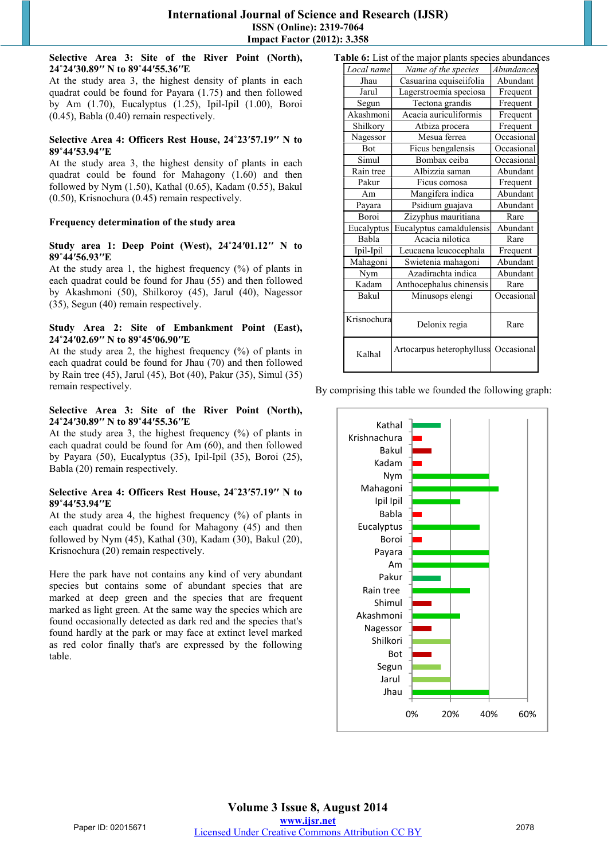#### **Selective Area 3: Site of the River Point (North), 24˚24ʹ30.89ʹʹ N to 89˚44ʹ55.36ʹʹE**

At the study area 3, the highest density of plants in each quadrat could be found for Payara (1.75) and then followed by Am (1.70), Eucalyptus (1.25), Ipil-Ipil (1.00), Boroi (0.45), Babla (0.40) remain respectively.

#### **Selective Area 4: Officers Rest House, 24˚23ʹ57.19ʹʹ N to 89˚44ʹ53.94ʹʹE**

At the study area 3, the highest density of plants in each quadrat could be found for Mahagony (1.60) and then followed by Nym (1.50), Kathal (0.65), Kadam (0.55), Bakul (0.50), Krisnochura (0.45) remain respectively.

## **Frequency determination of the study area**

#### **Study area 1: Deep Point (West), 24˚24ʹ01.12ʹʹ N to 89˚44ʹ56.93ʹʹE**

At the study area 1, the highest frequency  $(\%)$  of plants in each quadrat could be found for Jhau (55) and then followed by Akashmoni (50), Shilkoroy (45), Jarul (40), Nagessor (35), Segun (40) remain respectively.

## **Study Area 2: Site of Embankment Point (East), 24˚24ʹ02.69ʹʹ N to 89˚45ʹ06.90ʹʹE**

At the study area 2, the highest frequency (%) of plants in each quadrat could be found for Jhau (70) and then followed by Rain tree (45), Jarul (45), Bot (40), Pakur (35), Simul (35) remain respectively.

#### **Selective Area 3: Site of the River Point (North), 24˚24ʹ30.89ʹʹ N to 89˚44ʹ55.36ʹʹE**

At the study area 3, the highest frequency (%) of plants in each quadrat could be found for Am (60), and then followed by Payara (50), Eucalyptus (35), Ipil-Ipil (35), Boroi (25), Babla (20) remain respectively.

#### **Selective Area 4: Officers Rest House, 24˚23ʹ57.19ʹʹ N to 89˚44ʹ53.94ʹʹE**

At the study area 4, the highest frequency  $(\%)$  of plants in each quadrat could be found for Mahagony (45) and then followed by Nym (45), Kathal (30), Kadam (30), Bakul (20), Krisnochura (20) remain respectively.

Here the park have not contains any kind of very abundant species but contains some of abundant species that are marked at deep green and the species that are frequent marked as light green. At the same way the species which are found occasionally detected as dark red and the species that's found hardly at the park or may face at extinct level marked as red color finally that's are expressed by the following table.

| Table 6: List of the major plants species abundances |                                      |            |  |
|------------------------------------------------------|--------------------------------------|------------|--|
| Local name                                           | Name of the species                  | Abundances |  |
| Jhau                                                 | Casuarina equiseiifolia              | Abundant   |  |
| Jarul                                                | Lagerstroemia speciosa               | Frequent   |  |
| Segun                                                | Tectona grandis                      | Frequent   |  |
| Akashmoni                                            | Acacia auriculiformis                | Frequent   |  |
| Shilkory                                             | Atbiza procera                       | Frequent   |  |
| Nagessor                                             | Mesua ferrea                         | Occasional |  |
| Bot                                                  | Ficus bengalensis                    | Occasional |  |
| Simul                                                | Bombax ceiba                         | Occasional |  |
| Rain tree                                            | Albizzia saman                       | Abundant   |  |
| Pakur                                                | Ficus comosa                         | Frequent   |  |
| Am                                                   | Mangifera indica                     | Abundant   |  |
| Payara                                               | Psidium guajava                      | Abundant   |  |
| Boroi                                                | Zizyphus mauritiana                  | Rare       |  |
| Eucalyptus                                           | Eucalyptus camaldulensis             | Abundant   |  |
| Babla                                                | Acacia nilotica                      | Rare       |  |
| Ipil-Ipil                                            | Leucaena leucocephala                | Frequent   |  |
| Mahagoni                                             | Swietenia mahagoni                   | Abundant   |  |
| Nym                                                  | Azadirachta indica                   | Abundant   |  |
| Kadam                                                | Anthocephalus chinensis              | Rare       |  |
| Bakul                                                | Minusops elengi                      | Occasional |  |
| Krisnochural                                         | Delonix regia                        | Rare       |  |
| Kalhal                                               | Artocarpus heterophylluss Occasional |            |  |
|                                                      |                                      |            |  |

By comprising this table we founded the following graph:

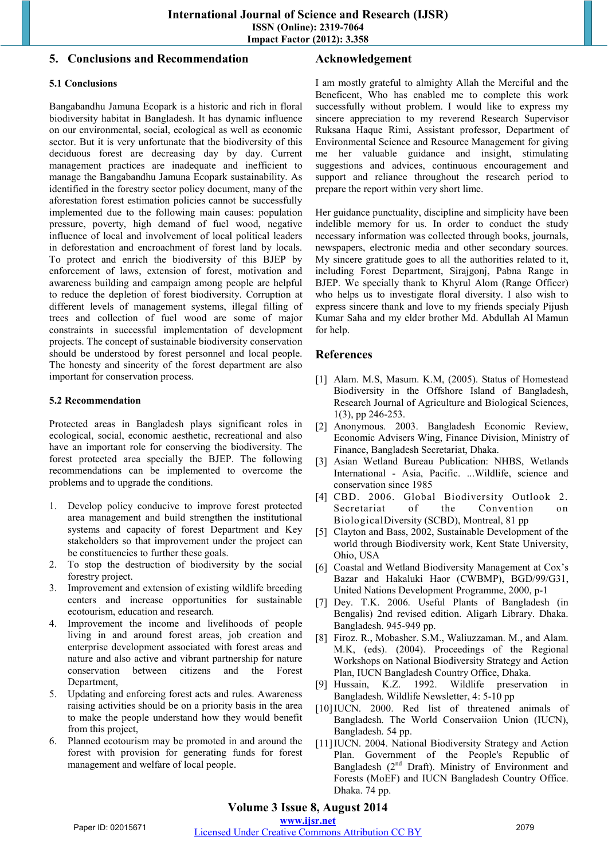# **5. Conclusions and Recommendation**

## **5.1 Conclusions**

Bangabandhu Jamuna Ecopark is a historic and rich in floral biodiversity habitat in Bangladesh. It has dynamic influence on our environmental, social, ecological as well as economic sector. But it is very unfortunate that the biodiversity of this deciduous forest are decreasing day by day. Current management practices are inadequate and inefficient to manage the Bangabandhu Jamuna Ecopark sustainability. As identified in the forestry sector policy document, many of the aforestation forest estimation policies cannot be successfully implemented due to the following main causes: population pressure, poverty, high demand of fuel wood, negative influence of local and involvement of local political leaders in deforestation and encroachment of forest land by locals. To protect and enrich the biodiversity of this BJEP by enforcement of laws, extension of forest, motivation and awareness building and campaign among people are helpful to reduce the depletion of forest biodiversity. Corruption at different levels of management systems, illegal filling of trees and collection of fuel wood are some of major constraints in successful implementation of development projects. The concept of sustainable biodiversity conservation should be understood by forest personnel and local people. The honesty and sincerity of the forest department are also important for conservation process.

#### **5.2 Recommendation**

Protected areas in Bangladesh plays significant roles in ecological, social, economic aesthetic, recreational and also have an important role for conserving the biodiversity. The forest protected area specially the BJEP. The following recommendations can be implemented to overcome the problems and to upgrade the conditions.

- 1. Develop policy conducive to improve forest protected area management and build strengthen the institutional systems and capacity of forest Department and Key stakeholders so that improvement under the project can be constituencies to further these goals.
- 2. To stop the destruction of biodiversity by the social forestry project.
- 3. Improvement and extension of existing wildlife breeding centers and increase opportunities for sustainable ecotourism, education and research.
- 4. Improvement the income and livelihoods of people living in and around forest areas, job creation and enterprise development associated with forest areas and nature and also active and vibrant partnership for nature conservation between citizens and the Forest Department,
- 5. Updating and enforcing forest acts and rules. Awareness raising activities should be on a priority basis in the area to make the people understand how they would benefit from this project,
- 6. Planned ecotourism may be promoted in and around the forest with provision for generating funds for forest management and welfare of local people.

## **Acknowledgement**

I am mostly grateful to almighty Allah the Merciful and the Beneficent, Who has enabled me to complete this work successfully without problem. I would like to express my sincere appreciation to my reverend Research Supervisor Ruksana Haque Rimi, Assistant professor, Department of Environmental Science and Resource Management for giving me her valuable guidance and insight, stimulating suggestions and advices, continuous encouragement and support and reliance throughout the research period to prepare the report within very short lime.

Her guidance punctuality, discipline and simplicity have been indelible memory for us. In order to conduct the study necessary information was collected through books, journals, newspapers, electronic media and other secondary sources. My sincere gratitude goes to all the authorities related to it, including Forest Department, Sirajgonj, Pabna Range in BJEP. We specially thank to Khyrul Alom (Range Officer) who helps us to investigate floral diversity. I also wish to express sincere thank and love to my friends specialy Pijush Kumar Saha and my elder brother Md. Abdullah Al Mamun for help.

# **References**

- [1] Alam. M.S, Masum. K.M, (2005). Status of Homestead Biodiversity in the Offshore Island of Bangladesh, Research Journal of Agriculture and Biological Sciences, 1(3), pp 246-253.
- [2] Anonymous. 2003. Bangladesh Economic Review, Economic Advisers Wing, Finance Division, Ministry of Finance, Bangladesh Secretariat, Dhaka.
- [3] Asian Wetland Bureau Publication: NHBS, Wetlands International - Asia, Pacific. ...Wildlife, science and conservation since 1985
- [4] CBD. 2006. Global Biodiversity Outlook 2. Secretariat of the Convention on BiologicalDiversity (SCBD), Montreal, 81 pp
- [5] Clayton and Bass, 2002, Sustainable Development of the world through Biodiversity work, Kent State University, Ohio, USA
- [6] Coastal and Wetland Biodiversity Management at Cox's Bazar and Hakaluki Haor (CWBMP), BGD/99/G31, United Nations Development Programme, 2000, p-1
- [7] Dey. T.K. 2006. Useful Plants of Bangladesh (in Bengalis) 2nd revised edition. Aligarh Library. Dhaka. Bangladesh. 945-949 pp.
- [8] Firoz. R., Mobasher. S.M., Waliuzzaman. M., and Alam. M.K, (eds). (2004). Proceedings of the Regional Workshops on National Biodiversity Strategy and Action Plan, IUCN Bangladesh Country Office, Dhaka.
- [9] Hussain, K.Z. 1992. Wildlife preservation in Bangladesh. Wildlife Newsletter, 4: 5-10 pp
- [10]IUCN. 2000. Red list of threatened animals of Bangladesh. The World Conservaiion Union (IUCN), Bangladesh. 54 pp.
- [11] IUCN. 2004. National Biodiversity Strategy and Action Plan. Government of the People's Republic of Bangladesh  $(2<sup>nd</sup>$  Draft). Ministry of Environment and Forests (MoEF) and IUCN Bangladesh Country Office. Dhaka. 74 pp.